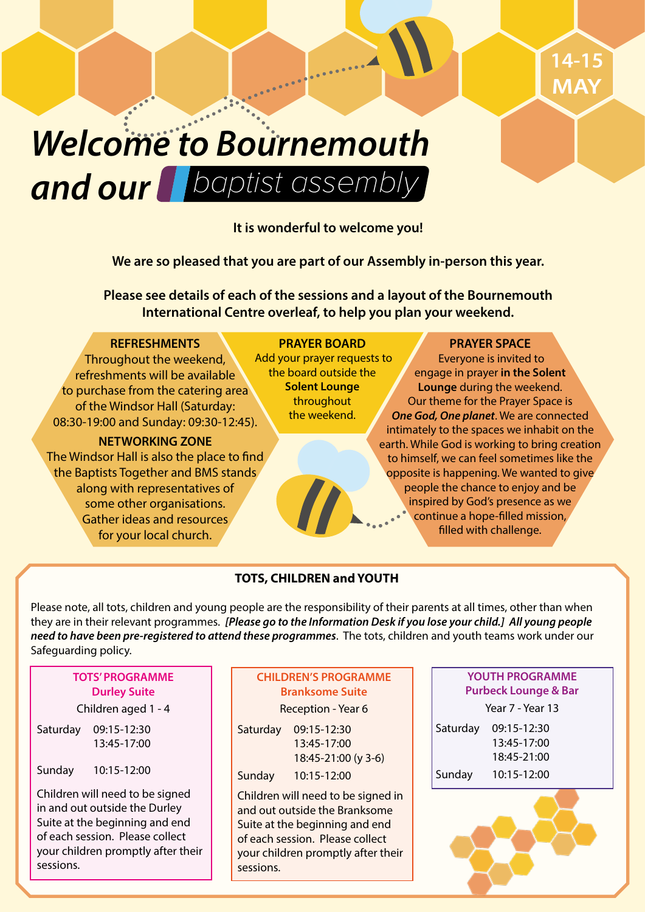# baptist assembly *and our Welcome to Bournemouth*

# **It is wonderful to welcome you!**

**We are so pleased that you are part of our Assembly in-person this year.**

**Please see details of each of the sessions and a layout of the Bournemouth International Centre overleaf, to help you plan your weekend.**

# **REFRESHMENTS**

Throughout the weekend, refreshments will be available to purchase from the catering area of the Windsor Hall (Saturday: 08:30-19:00 and Sunday: 09:30-12:45).

### **NETWORKING ZONE**

The Windsor Hall is also the place to find the Baptists Together and BMS stands along with representatives of some other organisations. Gather ideas and resources for your local church.

**PRAYER BOARD** Add your prayer requests to the board outside the **Solent Lounge** throughout the weekend.

# **PRAYER SPACE**

 Everyone is invited to engage in prayer **in the Solent Lounge** during the weekend. Our theme for the Prayer Space is *One God, One planet*. We are connected intimately to the spaces we inhabit on the earth. While God is working to bring creation to himself, we can feel sometimes like the opposite is happening. We wanted to give people the chance to enjoy and be inspired by God's presence as we continue a hope-filled mission, filled with challenge.

# **TOTS, CHILDREN and YOUTH**

Please note, all tots, children and young people are the responsibility of their parents at all times, other than when they are in their relevant programmes. *[Please go to the Information Desk if you lose your child.] All young people need to have been pre-registered to attend these programmes*. The tots, children and youth teams work under our Safeguarding policy.

# **TOTS' PROGRAMME Durley Suite**

# Children aged 1 - 4

Saturday 09:15-12:30 13:45-17:00

Sunday 10:15-12:00

Children will need to be signed in and out outside the Durley Suite at the beginning and end of each session. Please collect your children promptly after their sessions.

# **CHILDREN'S PROGRAMME Branksome Suite**  Reception - Year 6

| Saturday | 09:15-12:30         |
|----------|---------------------|
|          | 13:45-17:00         |
|          | 18:45-21:00 (y 3-6) |
| Sunday   | 10:15-12:00         |

Children will need to be signed in and out outside the Branksome Suite at the beginning and end of each session. Please collect your children promptly after their sessions.

# **YOUTH PROGRAMME Purbeck Lounge & Bar**

Year 7 - Year 13 Saturday 09:15-12:30 13:45-17:00 18:45-21:00 Sunday 10:15-12:00

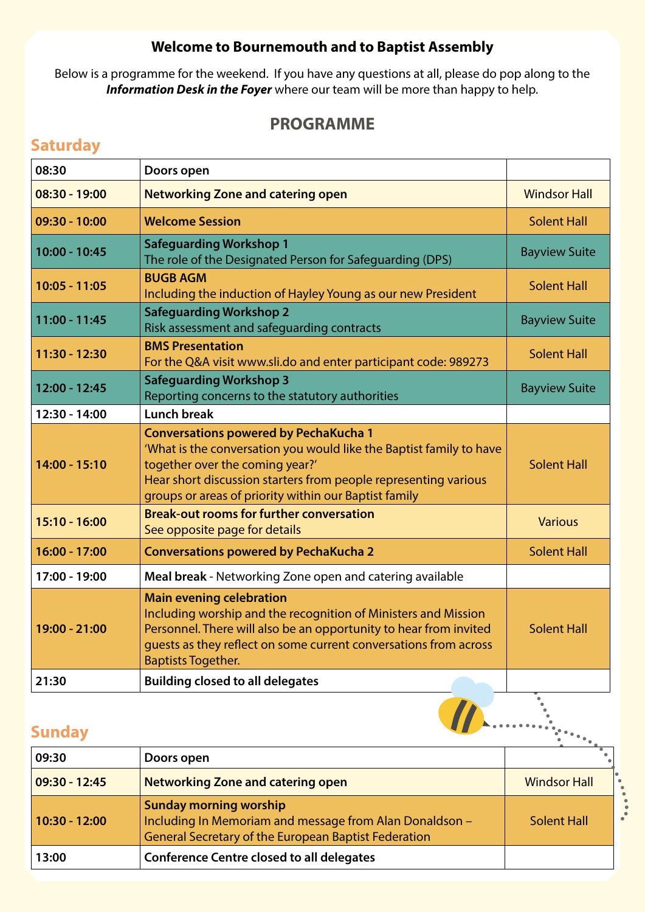# **Welcome to Bournemouth and to Baptist Assembly**

Below is a programme for the weekend. If you have any questions at all, please do pop along to the *Information Desk in the Foyer* where our team will be more than happy to help.

# **PROGRAMME**

# **Saturday**

| 08:30           | Doors open                                                                                                                                                                                                                                                                         |                      |  |  |
|-----------------|------------------------------------------------------------------------------------------------------------------------------------------------------------------------------------------------------------------------------------------------------------------------------------|----------------------|--|--|
| $08:30 - 19:00$ | <b>Networking Zone and catering open</b>                                                                                                                                                                                                                                           | <b>Windsor Hall</b>  |  |  |
| $09:30 - 10:00$ | <b>Welcome Session</b>                                                                                                                                                                                                                                                             | <b>Solent Hall</b>   |  |  |
| 10:00 - 10:45   | <b>Safeguarding Workshop 1</b><br>The role of the Designated Person for Safeguarding (DPS)                                                                                                                                                                                         |                      |  |  |
| $10:05 - 11:05$ | <b>BUGB AGM</b><br>Including the induction of Hayley Young as our new President                                                                                                                                                                                                    | <b>Solent Hall</b>   |  |  |
| 11:00 - 11:45   | <b>Safeguarding Workshop 2</b><br>Risk assessment and safeguarding contracts                                                                                                                                                                                                       | <b>Bayview Suite</b> |  |  |
| 11:30 - 12:30   | <b>BMS Presentation</b><br>For the Q&A visit www.sli.do and enter participant code: 989273                                                                                                                                                                                         | <b>Solent Hall</b>   |  |  |
| 12:00 - 12:45   | <b>Safeguarding Workshop 3</b><br>Reporting concerns to the statutory authorities                                                                                                                                                                                                  |                      |  |  |
| 12:30 - 14:00   | <b>Lunch break</b>                                                                                                                                                                                                                                                                 |                      |  |  |
| 14:00 - 15:10   | <b>Conversations powered by PechaKucha 1</b><br>'What is the conversation you would like the Baptist family to have<br>together over the coming year?'<br>Hear short discussion starters from people representing various<br>groups or areas of priority within our Baptist family | <b>Solent Hall</b>   |  |  |
| $15:10 - 16:00$ | <b>Break-out rooms for further conversation</b><br>See opposite page for details                                                                                                                                                                                                   | <b>Various</b>       |  |  |
| 16:00 - 17:00   | <b>Conversations powered by PechaKucha 2</b>                                                                                                                                                                                                                                       | <b>Solent Hall</b>   |  |  |
| 17:00 - 19:00   | Meal break - Networking Zone open and catering available                                                                                                                                                                                                                           |                      |  |  |
| 19:00 - 21:00   | <b>Main evening celebration</b><br>Including worship and the recognition of Ministers and Mission<br>Personnel. There will also be an opportunity to hear from invited<br>guests as they reflect on some current conversations from across<br><b>Baptists Together.</b>            | <b>Solent Hall</b>   |  |  |
| 21:30           | <b>Building closed to all delegates</b>                                                                                                                                                                                                                                            |                      |  |  |
| <b>Sunday</b>   |                                                                                                                                                                                                                                                                                    |                      |  |  |

# **Sunday**

| 09:30           | Doors open                                                                                                                                              |                     |
|-----------------|---------------------------------------------------------------------------------------------------------------------------------------------------------|---------------------|
| $09:30 - 12:45$ | <b>Networking Zone and catering open</b>                                                                                                                | <b>Windsor Hall</b> |
| $10:30 - 12:00$ | <b>Sunday morning worship</b><br>Including In Memoriam and message from Alan Donaldson -<br><b>General Secretary of the European Baptist Federation</b> | Solent Hall         |
| 13:00           | <b>Conference Centre closed to all delegates</b>                                                                                                        |                     |

.<br>.<br>.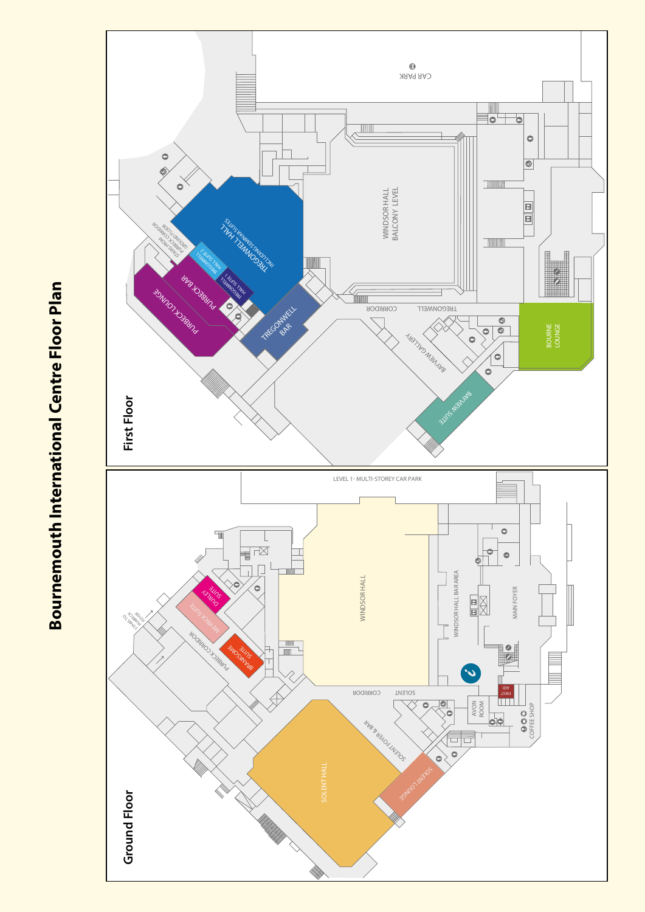

# **Bournemouth International Centre Floor Plan Bournemouth International Centre Floor Plan**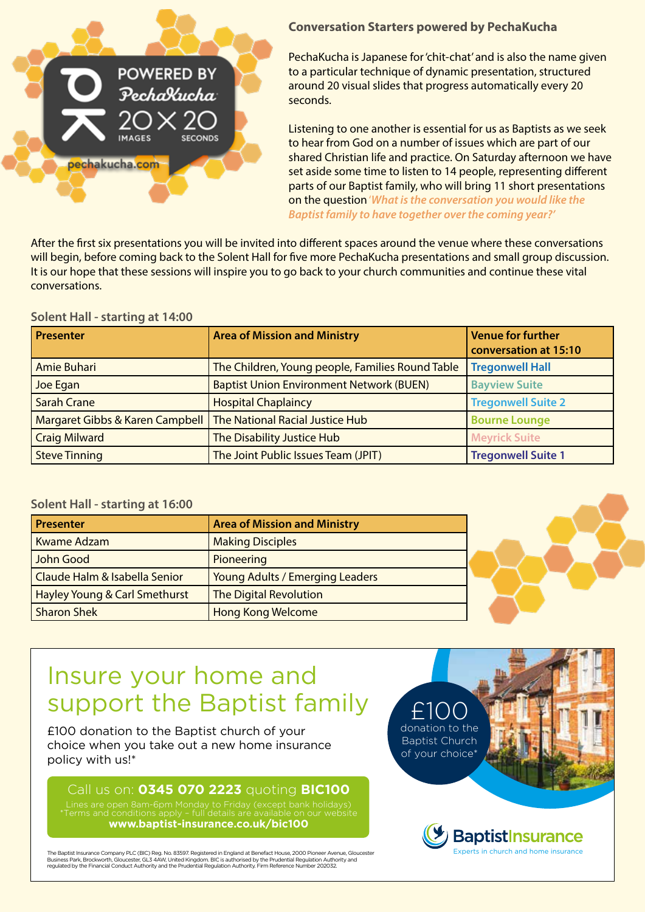

# **Conversation Starters powered by PechaKucha**

PechaKucha is Japanese for 'chit-chat' and is also the name given to a particular technique of dynamic presentation, structured around 20 visual slides that progress automatically every 20 seconds.

Listening to one another is essential for us as Baptists as we seek to hear from God on a number of issues which are part of our shared Christian life and practice. On Saturday afternoon we have set aside some time to listen to 14 people, representing different parts of our Baptist family, who will bring 11 short presentations on the question '*What is the conversation you would like the Baptist family to have together over the coming year?'*

After the first six presentations you will be invited into different spaces around the venue where these conversations will begin, before coming back to the Solent Hall for five more PechaKucha presentations and small group discussion. It is our hope that these sessions will inspire you to go back to your church communities and continue these vital conversations.

### **Solent Hall - starting at 14:00**

| <b>Presenter</b>                | <b>Area of Mission and Ministry</b>              | <b>Venue for further</b><br>conversation at 15:10 |
|---------------------------------|--------------------------------------------------|---------------------------------------------------|
| Amie Buhari                     | The Children, Young people, Families Round Table | <b>Tregonwell Hall</b>                            |
| Joe Egan                        | <b>Baptist Union Environment Network (BUEN)</b>  | <b>Bayview Suite</b>                              |
| Sarah Crane                     | <b>Hospital Chaplaincy</b>                       | <b>Tregonwell Suite 2</b>                         |
| Margaret Gibbs & Karen Campbell | The National Racial Justice Hub                  | <b>Bourne Lounge</b>                              |
| <b>Craig Milward</b>            | The Disability Justice Hub                       | <b>Meyrick Suite</b>                              |
| Steve Tinning                   | The Joint Public Issues Team (JPIT)              | <b>Tregonwell Suite 1</b>                         |

# **Solent Hall - starting at 16:00**

| <b>Presenter</b>                         | <b>Area of Mission and Ministry</b> |
|------------------------------------------|-------------------------------------|
| Kwame Adzam                              | <b>Making Disciples</b>             |
| John Good                                | Pioneering                          |
| Claude Halm & Isabella Senior            | Young Adults / Emerging Leaders     |
| <b>Hayley Young &amp; Carl Smethurst</b> | <b>The Digital Revolution</b>       |
| <b>Sharon Shek</b>                       | <b>Hong Kong Welcome</b>            |



# Insure your home and support the Baptist family

£100 donation to the Baptist church of your choice when you take out a new home insurance policy with us!\*

# Call us on: **0345 070 2223** quoting **BIC100**

**www.baptist-insurance.co.uk/bic100**

The Baptist Insurance Company PLC (BIC) Reg. No. 83597. Registered in England at Benefact House, 2000 Pioneer Avenue, Gloucester<br>Business Park, Brockworth, Gloucester, GL3 4AW, United Kingdom. BIC is authorised by the Prud

£100 donation to the Baptist Church of your choice<sup>\*</sup>

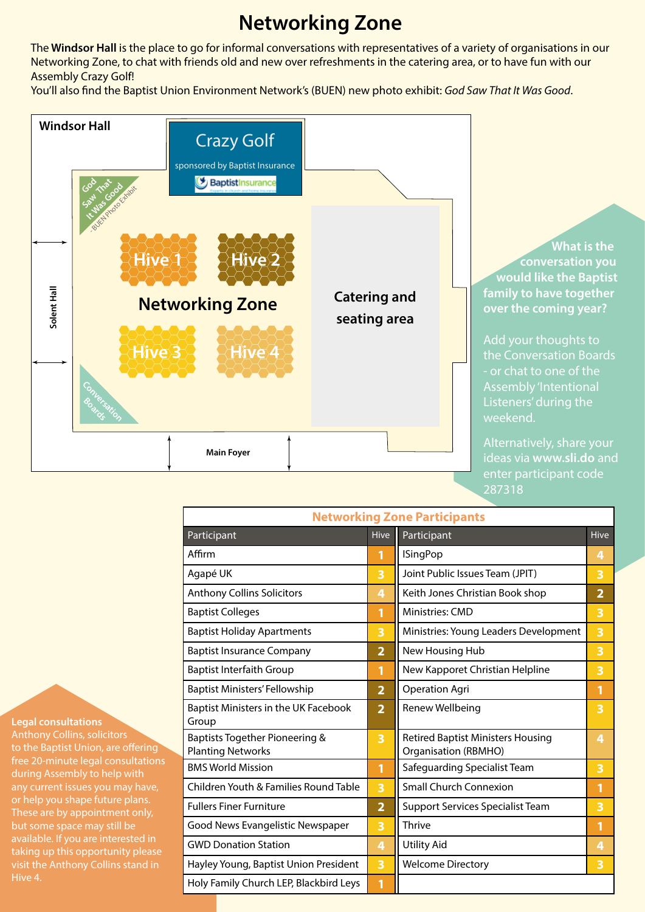# **Networking Zone**

The **Windsor Hall** is the place to go for informal conversations with representatives of a variety of organisations in our Networking Zone, to chat with friends old and new over refreshments in the catering area, or to have fun with our Assembly Crazy Golf!

You'll also find the Baptist Union Environment Network's (BUEN) new photo exhibit: *God Saw That It Was Good*.



| <b>Networking Zone Participants</b>                        |                |                                                                         |                |  |  |
|------------------------------------------------------------|----------------|-------------------------------------------------------------------------|----------------|--|--|
| Participant                                                | <b>Hive</b>    | Participant                                                             | <b>Hive</b>    |  |  |
| Affirm                                                     | 1              | <b>ISingPop</b>                                                         | 4              |  |  |
| Agapé UK                                                   | 3              | Joint Public Issues Team (JPIT)                                         | 3              |  |  |
| <b>Anthony Collins Solicitors</b>                          | 4              | Keith Jones Christian Book shop                                         | $\overline{2}$ |  |  |
| <b>Baptist Colleges</b>                                    | 1              | <b>Ministries: CMD</b>                                                  | 3              |  |  |
| <b>Baptist Holiday Apartments</b>                          | 3              | Ministries: Young Leaders Development                                   | 3              |  |  |
| <b>Baptist Insurance Company</b>                           | $\overline{2}$ | New Housing Hub                                                         | 3              |  |  |
| <b>Baptist Interfaith Group</b>                            | 1              | New Kapporet Christian Helpline                                         | 3              |  |  |
| <b>Baptist Ministers' Fellowship</b>                       | $\overline{2}$ | <b>Operation Agri</b>                                                   | 1              |  |  |
| Baptist Ministers in the UK Facebook<br>Group              | $\overline{2}$ | Renew Wellbeing                                                         | 3              |  |  |
| Baptists Together Pioneering &<br><b>Planting Networks</b> | 3              | <b>Retired Baptist Ministers Housing</b><br><b>Organisation (RBMHO)</b> | 4              |  |  |
| <b>BMS World Mission</b>                                   | 1              | Safeguarding Specialist Team                                            | 3              |  |  |
| Children Youth & Families Round Table                      | 3              | <b>Small Church Connexion</b>                                           | 1              |  |  |
| <b>Fullers Finer Furniture</b>                             | $\overline{2}$ | <b>Support Services Specialist Team</b>                                 | 3              |  |  |
| Good News Evangelistic Newspaper                           | 3              | Thrive                                                                  | $\mathbf{1}$   |  |  |
| <b>GWD Donation Station</b>                                | 4              | <b>Utility Aid</b>                                                      | 4              |  |  |
| Hayley Young, Baptist Union President                      | 3              | <b>Welcome Directory</b>                                                | 3              |  |  |
| Holy Family Church LEP, Blackbird Leys                     | 1              |                                                                         |                |  |  |

**Legal consultations**

Anthony Collins, solicitors to the Baptist Union, are offering free 20-minute legal consultations during Assembly to help with or help you shape future plans. These are by appointment only, but some space may still be available. If you are interested in taking up this opportunity please Hive 4.